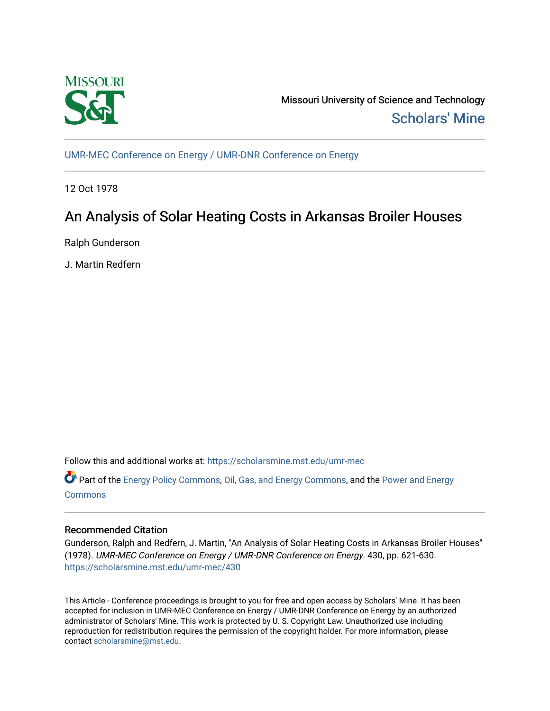

Missouri University of Science and Technology [Scholars' Mine](https://scholarsmine.mst.edu/) 

[UMR-MEC Conference on Energy / UMR-DNR Conference on Energy](https://scholarsmine.mst.edu/umr-mec)

12 Oct 1978

# An Analysis of Solar Heating Costs in Arkansas Broiler Houses

Ralph Gunderson

J. Martin Redfern

Follow this and additional works at: [https://scholarsmine.mst.edu/umr-mec](https://scholarsmine.mst.edu/umr-mec?utm_source=scholarsmine.mst.edu%2Fumr-mec%2F430&utm_medium=PDF&utm_campaign=PDFCoverPages) 

Part of the [Energy Policy Commons](http://network.bepress.com/hgg/discipline/1065?utm_source=scholarsmine.mst.edu%2Fumr-mec%2F430&utm_medium=PDF&utm_campaign=PDFCoverPages), [Oil, Gas, and Energy Commons](http://network.bepress.com/hgg/discipline/171?utm_source=scholarsmine.mst.edu%2Fumr-mec%2F430&utm_medium=PDF&utm_campaign=PDFCoverPages), and the [Power and Energy](http://network.bepress.com/hgg/discipline/274?utm_source=scholarsmine.mst.edu%2Fumr-mec%2F430&utm_medium=PDF&utm_campaign=PDFCoverPages) **[Commons](http://network.bepress.com/hgg/discipline/274?utm_source=scholarsmine.mst.edu%2Fumr-mec%2F430&utm_medium=PDF&utm_campaign=PDFCoverPages)** 

# Recommended Citation

Gunderson, Ralph and Redfern, J. Martin, "An Analysis of Solar Heating Costs in Arkansas Broiler Houses" (1978). UMR-MEC Conference on Energy / UMR-DNR Conference on Energy. 430, pp. 621-630. [https://scholarsmine.mst.edu/umr-mec/430](https://scholarsmine.mst.edu/umr-mec/430?utm_source=scholarsmine.mst.edu%2Fumr-mec%2F430&utm_medium=PDF&utm_campaign=PDFCoverPages) 

This Article - Conference proceedings is brought to you for free and open access by Scholars' Mine. It has been accepted for inclusion in UMR-MEC Conference on Energy / UMR-DNR Conference on Energy by an authorized administrator of Scholars' Mine. This work is protected by U. S. Copyright Law. Unauthorized use including reproduction for redistribution requires the permission of the copyright holder. For more information, please contact [scholarsmine@mst.edu](mailto:scholarsmine@mst.edu).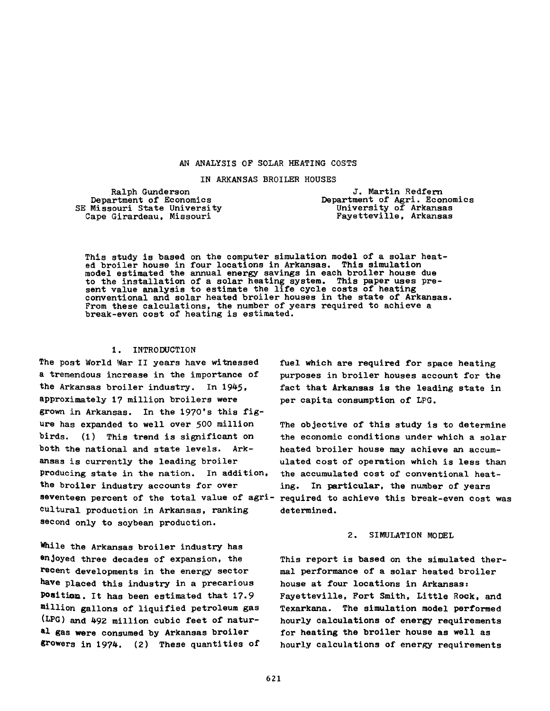# AN ANALYSIS OF SOLAR HEATING COSTS

IN ARKANSAS BROILER HOUSES

Ralph Gunderson Department of Economics SE Missouri State University Cape Girardeau, Missouri

J. Martin Redfern Department of Agri. Economics University of Arkansas Fayetteville, Arkansas

This study is based on the computer simulation model of a solar heated broiler house in four locations in Arkansas. This simulation model estimated the annual energy savings in each broiler house due to the installation of a solar heating system. This paper uses present value analysis to estimate the life cycle costs of heating conventional and solar heated broiler houses in the state of Arkansas. From these calculations, the number of years required to achieve a break-even cost of heating is estimated.

# 1. INTRODUCTION

The post World War II years have witnessed a tremendous increase in the importance of the Arkansas broiler industry. In 1945, approximately 1? million broilers were grown in Arkansas. In the 1970's this figure has expanded to well over 500 million birds. (1) This trend is significant on both the national and state levels. Arkansas is currently the leading broiler producing state in the nation. In addition, the broiler industry accounts for over cultural production in Arkansas, ranking second only to soybean production.

While the Arkansas broiler industry has enjoyed three decades of expansion, the recent developments in the energy sector have placed this industry in a precarious Position. It has been estimated that 17.9 million gallons of liquified petroleum gas (LPG) and 492 million cubic feet of natural gas were consumed by Arkansas broiler growers in 1974. (2) These quantities of fuel which are required for space heating purposes in broiler houses account for the fact that Arkansas is the leading state in per capita consumption of LPG.

seventeen percent of the total value of agri- required to achieve this break-even cost was The objective of this study is to determine the economic conditions under which a solar heated broiler house may achieve an accumulated cost of operation which is less than the accumulated cost of conventional heating. In particular, the number of years determined.

### 2. SIMULATION MODEL

This report is based on the simulated thermal performance of a solar heated broiler house at four locations in Arkansas: Fayetteville, Fort Smith, Little Rock, and Texarkana. The simulation model performed hourly calculations of energy requirements for heating the broiler house as well as hourly calculations of energy requirements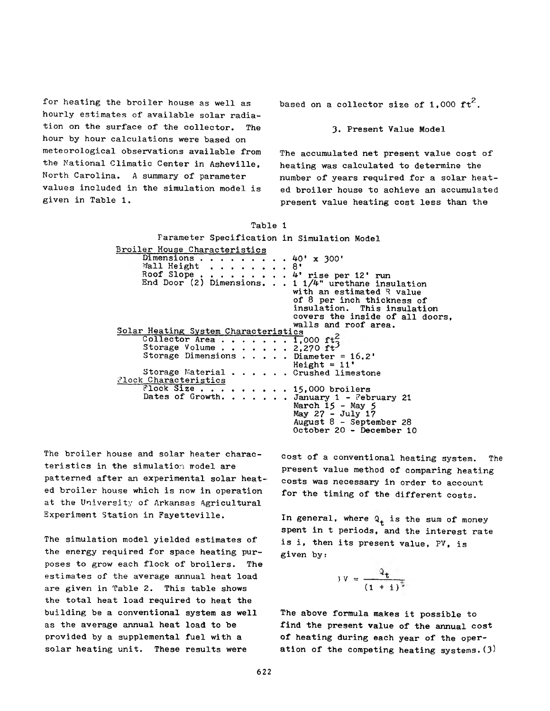for heating the broiler house as well as hourly estimates of available solar radiation on the surface of the collector. The hour by hour calculations were based on meteorological observations available from the National Climatic Center in Asheville, North Carolina. A summary of parameter values included in the simulation model is given in Table 1.

based on a collector size of 1,000  $\mathsf{ft}^2$ .

# 3. Present Value Model

The accumulated net present value cost of heating was calculated to determine the number of years required for a solar heated broiler house to achieve an accumulated present value heating cost less than the

| Parameter Specification in Simulation Model                                              |  |  |  |  |  |
|------------------------------------------------------------------------------------------|--|--|--|--|--|
| Broiler House Characteristics                                                            |  |  |  |  |  |
| Dimensions $\cdot \cdot \cdot \cdot \cdot \cdot \cdot \cdot 40'$ x 300'                  |  |  |  |  |  |
| Wall Height 8'                                                                           |  |  |  |  |  |
| Roof Slope 4' rise per 12' run<br>End Door (2) Dimensions. 1 $1/4$ " urethane insulation |  |  |  |  |  |
| with an estimated R value                                                                |  |  |  |  |  |
| of 8 per inch thickness of                                                               |  |  |  |  |  |
| insulation. This insulation                                                              |  |  |  |  |  |
| covers the inside of all doors,                                                          |  |  |  |  |  |
| walls and roof area.                                                                     |  |  |  |  |  |
| Solar Heating System Characteristics                                                     |  |  |  |  |  |
| Collector Area 1,000 ft.                                                                 |  |  |  |  |  |
| Storage Volume $\cdots$ $\cdots$ $\cdots$ 2,270 ft <sup>2</sup>                          |  |  |  |  |  |
| Storage Dimensions Diameter = $16.2'$                                                    |  |  |  |  |  |
| $Height = 11'$                                                                           |  |  |  |  |  |
| Storage Material Crushed limestone                                                       |  |  |  |  |  |
| Plock Characteristics                                                                    |  |  |  |  |  |
| Flock Size 15,000 broilers                                                               |  |  |  |  |  |
| Dates of Growth. January 1 - February 21                                                 |  |  |  |  |  |
| March $15$ - May 5                                                                       |  |  |  |  |  |
| May 27 - July 17                                                                         |  |  |  |  |  |
| August $8$ - September 28                                                                |  |  |  |  |  |
| October 20 - December 10                                                                 |  |  |  |  |  |

Table 1

The broiler house and solar heater characteristics in the simulation model are patterned after an experimental solar heated broiler house which is now in operation at the University of Arkansas Agricultural Experiment Station in Fayetteville.

The simulation model yielded estimates of the energy required for space heating purposes to grow each flock of broilers. The estimates of the average annual heat load are given in Table 2. This table shows the total heat load required to heat the building be a conventional system as well as the average annual heat load to be provided by a supplemental fuel with a solar heating unit. These results were

cost of a conventional heating system. The present value method of comparing heating costs was necessary in order to account for the timing of the different costs.

In general, where  $Q_t$  is the sum of money spent in t periods, and the interest rate is i, then its present value, PV, is given by:

$$
y = \frac{a_t}{(1+i)^t}
$$

The above formula makes it possible to find the present value of the annual cost of heating during each year of the operation of the competing heating systems.  $(3)$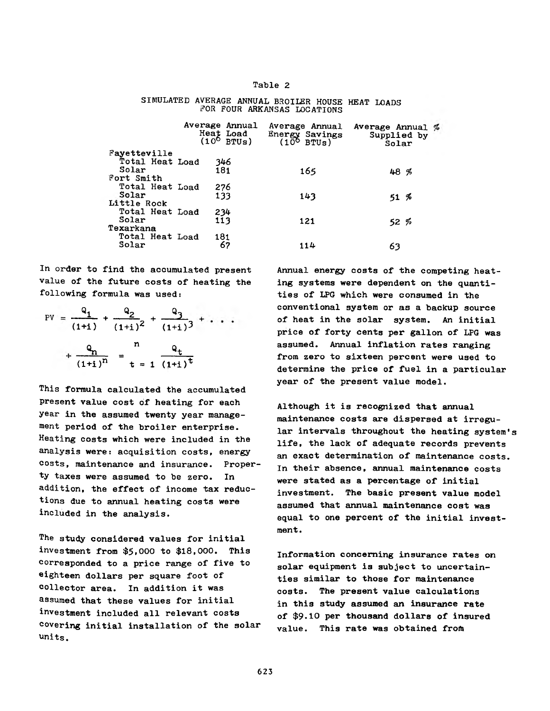# Table 2

|                 | Average Annual<br>Heat Load<br>$(10^{\circ}$ BTUs) |     | Average Annual<br>Energy Savings<br>$(106$ BTUs) | Average Annual $%$<br>Supplied by<br>Solar |
|-----------------|----------------------------------------------------|-----|--------------------------------------------------|--------------------------------------------|
| Fayetteville    |                                                    |     |                                                  |                                            |
| Total Heat Load |                                                    | 346 |                                                  |                                            |
| Solar           |                                                    | 181 | 165                                              | 48%                                        |
| Fort Smith      |                                                    |     |                                                  |                                            |
| Total Heat Load |                                                    | 276 |                                                  |                                            |
| Solar           |                                                    | 133 | 143                                              | $51,  \%$                                  |
| Little Rock     |                                                    |     |                                                  |                                            |
| Total Heat Load |                                                    | 234 |                                                  |                                            |
| Solar           |                                                    | 113 | 121                                              | 52%                                        |
| Texarkana       |                                                    |     |                                                  |                                            |
| Total Heat Load |                                                    | 181 |                                                  |                                            |
| Solar           |                                                    | 67  | 114                                              | 63                                         |
|                 |                                                    |     |                                                  |                                            |

#### SIMULATED AVERAGE ANNUAL BROILER HOUSE HEAT LOADS EOR POUR ARKANSAS LOCATIONS

In order to find the accumulated present value of the future costs of heating the following formula was used:

$$
PV = \frac{Q_1}{(1+i)} + \frac{Q_2}{(1+i)^2} + \frac{Q_3}{(1+i)^3} + \dots
$$
  
+ 
$$
\frac{Q_n}{(1+i)^n} = \frac{n}{t} = \frac{Q_t}{(1+i)^{\frac{1}{t}}}
$$

This formula calculated the accumulated present value cost of heating for each year in the assumed twenty year management period of the broiler enterprise. Heating costs which were included in the analysis were: acquisition costs, energy costs, maintenance and insurance. Property taxes were assumed to be zero. In addition, the effect of income tax reductions due to annual heating costs were included in the analysis.

The study considered values for initial investment from \$5,000 to \$18,000. This corresponded to a price range of five to eighteen dollars per square foot of collector area. In addition it was assumed that these values for initial investment included all relevant costs covering initial installation of the solar units.

Annual energy costs of the competing heating systems were dependent on the quantities of LPG which were consumed in the conventional system or as a backup source of heat in the solar system. An initial price of forty cents per gallon of LPG was assumed. Annual inflation rates ranging from zero to sixteen percent were used to determine the price of fuel in a particular year of the present value model.

Although it is recognized that annual maintenance costs are dispersed at irregular intervals throughout the heating system's life, the lack of adequate records prevents an exact determination of maintenance costs. In their absence, annual maintenance costs were stated as a percentage of initial investment. The basic present value model assumed that annual maintenance cost was equal to one percent of the initial investment.

Information concerning insurance rates on solar equipment is subject to uncertainties similar to those for maintenance costs. The present value calculations in this study assumed an insurance rate of \$9.10 per thousand dollars of insured value. This rate was obtained from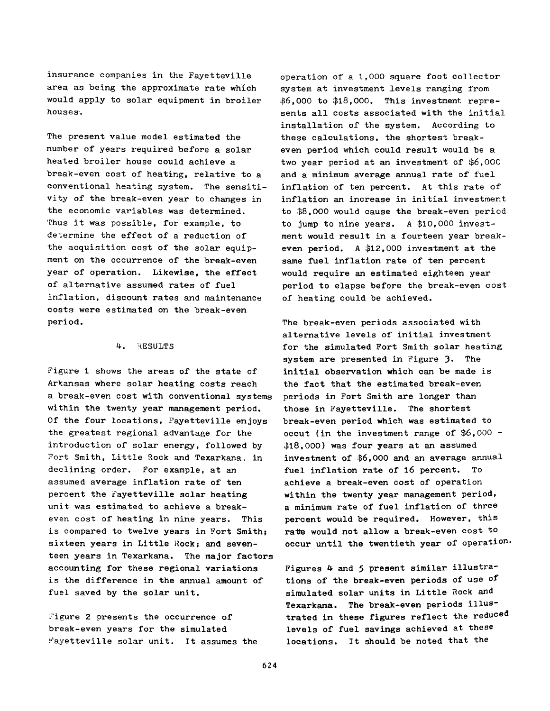insurance companies in the Fayetteville area as being the approximate rate which would apply to solar equipment in broiler houses.

The present value model estimated the number of years required before a solar heated broiler house could achieve a break-even cost of heating, relative to a conventional heating system. The sensitivity of the break-even year to changes in the economic variables was determined. Thus it was possible, for example, to determine the effect of a reduction of the acquisition cost of the solar equipment on the occurrence of the break-even year of operation. Likewise, the effect of alternative assumed rates of fuel inflation, discount rates and maintenance costs were estimated on the break-even period.

# *k.* RESULTS

Figure 1 shows the areas of the state of Arkansas where solar heating costs reach a break-even cost with conventional systems within the twenty year management period. Of the four locations, Fayetteville enjoys the greatest regional advantage for the introduction of solar energy, followed by Fort Smith, Little Rock and Texarkana, in declining order. For example, at an assumed average inflation rate of ten percent the Fayetteville solar heating unit was estimated to achieve a breakeven cost of heating in nine years. This is compared to twelve years in Fort Smith; sixteen years in Little Rock; and seventeen years in Texarkana. The major factors accounting for these regional variations is the difference in the annual amount of fuel saved by the solar unit.

Figure 2 presents the occurrence of break-even years for the simulated Fayetteville solar unit. It assumes the operation of a 1,000 square foot collector system at investment levels ranging from \$6,000 to \$18,000. This investment represents all costs associated with the initial installation of the system. According to these calculations, the shortest breakeven period which could result would be a two year period at an investment of \$6,000 and a minimum average annual rate of fuel inflation of ten percent. At this rate of inflation an increase in initial investment to \$8,000 would cause the break-even period to jump to nine years. A \$10,000 investment would result in a fourteen year breakeven period. A \$12,000 investment at the same fuel inflation rate of ten percent would require an estimated eighteen year period to elapse before the break-even cost of heating could be achieved.

The break-even periods associated with alternative levels of initial investment for the simulated Fort Smith solar heating system are presented in Figure 3. The initial observation which can be made is the fact that the estimated break-even periods in Fort Smith are longer than those in Fayetteville. The shortest break-even period which was estimated to occut (in the investment range of \$6,000 - \$18,000) was four years at an assumed investment of \$6,000 and an average annual fuel inflation rate of 16 percent. To achieve a break-even cost of operation within the twenty year management period, a minimum rate of fuel inflation of three percent would be required. However, this rate would not allow a break-even cost to occur until the twentieth year of operation.

Figures 4 and 5 present similar illustrations of the break-even periods of use of simulated solar units in Little Rock and Texarkana. The break-even periods illustrated in these figures reflect the reduced levels of fuel savings achieved at these locations. It should be noted that the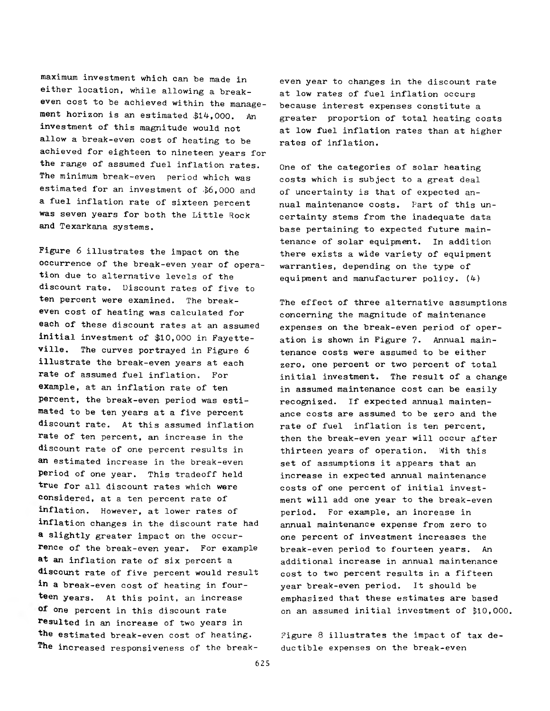maximum investment which can be made in either location, while allowing a breakeven cost to be achieved within the management horizon is an estimated \$14,000. An investment of this magnitude would not allow a break-even cost of heating to be achieved for eighteen to nineteen years for the range of assumed fuel inflation rates. The minimum break-even period which was estimated for an investment of \$6,000 and a fuel inflation rate of sixteen percent was seven years for both the Little Rock and Texarkana systems.

Figure 6 illustrates the impact on the occurrence of the break-even year of operation due to alternative levels of the discount rate. Discount rates of five to ten percent were examined. The breakeven cost of heating was calculated for each of these discount rates at an assumed initial investment of \$10,000 in Fayetteville. The curves portrayed in Figure 6 illustrate the break-even years at each rate of assumed fuel inflation. For example, at an inflation rate of ten percent, the break-even period was estimated to be ten years at a five percent discount rate. At this assumed inflation rate of ten percent, an increase in the discount rate of one percent results in an estimated increase in the break-even period of one year. This tradeoff held true for all discount rates which were considered, at a ten percent rate of inflation. However, at lower rates of inflation changes in the discount rate had a slightly greater impact on the occurrence of the break-even year. For example at an inflation rate of six percent a discount rate of five percent would result in a break-even cost of heating in fourteen years. At this point, an increase of one percent in this discount rate resulted in an increase of two years in the estimated break-even cost of heating. The increased responsiveness of the break-

even year to changes in the discount rate at low rates of fuel inflation occurs because interest expenses constitute a greater proportion of total heating costs at low fuel inflation rates than at higher rates of inflation.

One of the categories of solar heating costs which is subject to a great deal of uncertainty is that of expected annual maintenance costs. Part of this uncertainty stems from the inadequate data base pertaining to expected future maintenance of solar equipment. In addition there exists a wide variety of equipment warranties, depending on the type of equipment and manufacturer policy.  $(4)$ 

The effect of three alternative assumptions concerning the magnitude of maintenance expenses on the break-even period of operation is shown in Figure 7. Annual maintenance costs were assumed to be either zero, one percent or two percent of total initial investment. The result of a change in assumed maintenance cost can be easily recognized. If expected annual maintenance costs are assumed to be zero and the rate of fuel inflation is ten percent, then the break-even year will occur after thirteen years of operation. With this set of assumptions it appears that an increase in expected annual maintenance costs of one percent of initial investment will add one year to the break-even period. For example, an increase in annual maintenance expense from zero to one percent of investment increases the break-even period to fourteen years. An additional increase in annual maintenance cost to two percent results in a fifteen year break-even period. It should be emphasized that these estimates are based on an assumed initial investment of £10,000.

Figure 8 illustrates the impact of tax deductible expenses on the break-even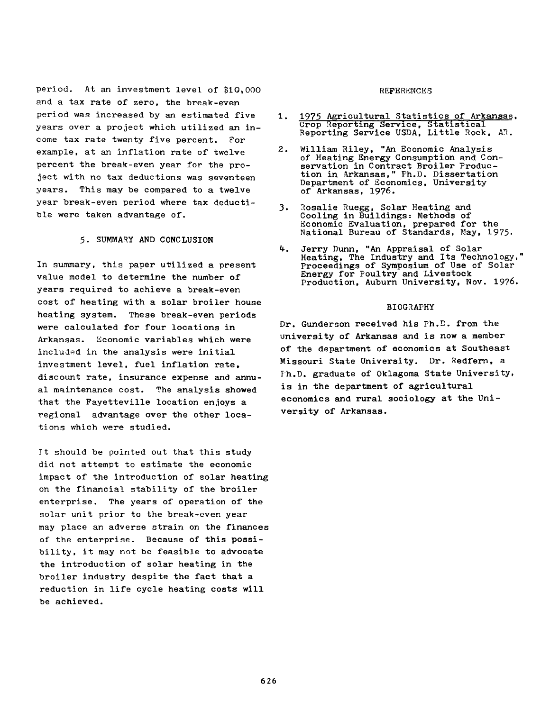period. At an investment level of \$10,000 and a tax rate of zero, the break-even period was increased by an estimated five years over a project which utilized an income tax rate twenty five percent. For example, at an inflation rate of twelve percent the break-even year for the project with no tax deductions was seventeen years. This may be compared to a twelve year break-even period where tax deductible were taken advantage of.

# 5. SUMMARY AND CONCLUSION

In summary, this paper utilized a present value model to determine the number of years required to achieve a break-even cost of heating with a solar broiler house heating system. These break-even periods were calculated for four locations in Arkansas. Economic variables which were included in the analysis were initial investment level, fuel inflation rate, discount rate, insurance expense and annual maintenance cost. The analysis showed that the Fayetteville location enjoys a regional advantage over the other locations which were studied.

It should be pointed out that this study did not attempt to estimate the economic impact of the introduction of solar heating on the financial stability of the broiler enterprise. The years of operation of the solar unit prior to the break-even year may place an adverse strain on the finances of the enterprise. Because of this possibility, it may not be feasible to advocate the introduction of solar heating in the broiler industry despite the fact that a reduction in life cycle heating costs will be achieved.

#### REFERENCES

- 1. 1975 Agricultural Statistics of Arkansas. Crop Reporting Service, Statistical Reporting Service USDA, Little Rock, AR.
- 2. William Riley, "An Economic Analysis of Heating Energy Consumption and Conservation in Contract Broiler Production in, Arkansas," Ph.D. Dissertation Department of Economics, University of Arkansas, 1976.
- 3. Rosalie Ruegg, Solar Heating and Cooling in Buildings: Methods of Economic Evaluation, prepared for the National Bureau of Standards, May, 1975-
- 4. Jerry Dunn, "An Appraisal of Solar Heating, The Industry and Its Technology," Proceedings of Symposium of Use of Solar Energy for Poultry and Livestock Production, Auburn University, Nov. 1976.

# BIOGRAPHY

Dr. Gunderson received his Ph.D. from the university of Arkansas and is now a member of the department of economics at Southeast Missouri State University. Dr. Redfern, a Ph.D. graduate of Oklagoma State University, is in the department of agricultural economics and rural sociology at the University of Arkansas.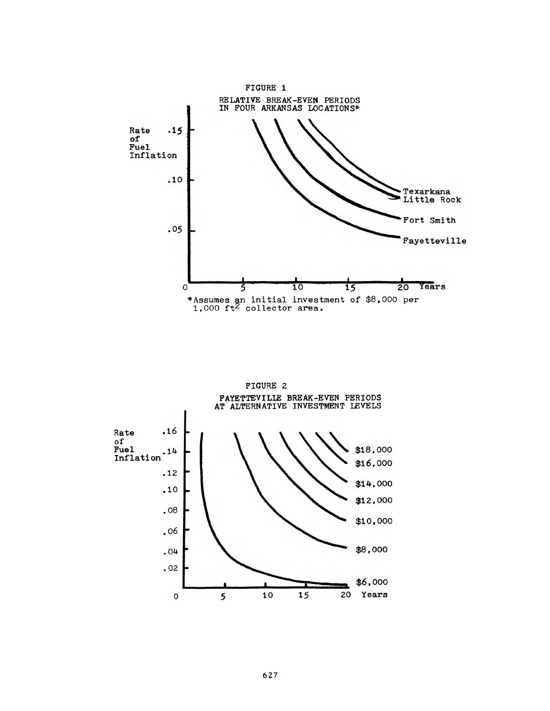

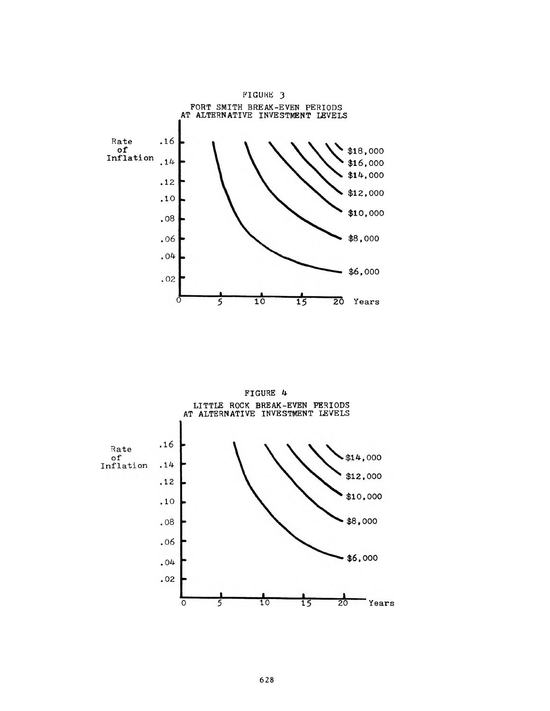

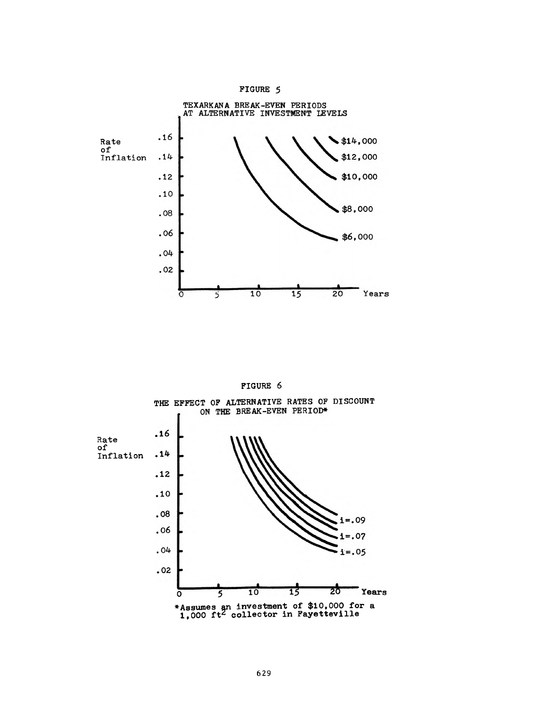



FIGURE 6



FIGURE 5